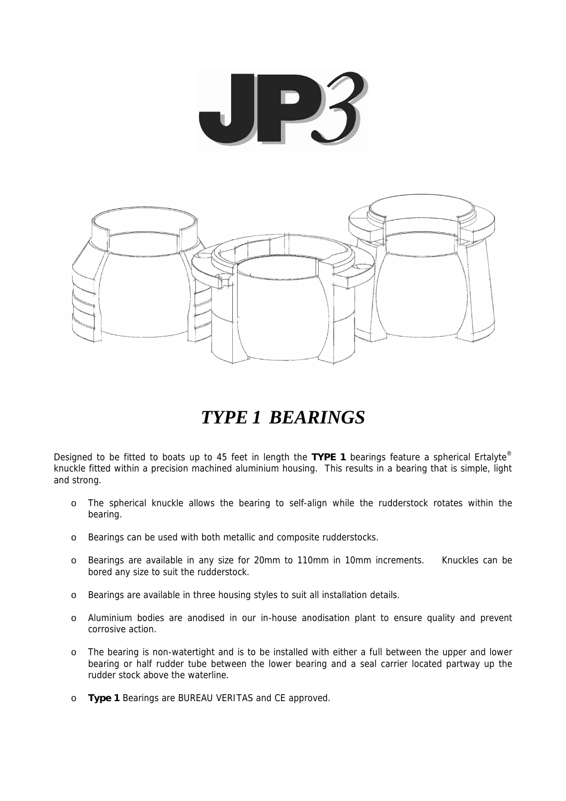



# *TYPE 1 BEARINGS*

Designed to be fitted to boats up to 45 feet in length the **TYPE 1** bearings feature a spherical Ertalyte® knuckle fitted within a precision machined aluminium housing. This results in a bearing that is simple, light and strong.

- o The spherical knuckle allows the bearing to self-align while the rudderstock rotates within the bearing.
- o Bearings can be used with both metallic and composite rudderstocks.
- o Bearings are available in any size for 20mm to 110mm in 10mm increments. Knuckles can be bored any size to suit the rudderstock.
- o Bearings are available in three housing styles to suit all installation details.
- o Aluminium bodies are anodised in our in-house anodisation plant to ensure quality and prevent corrosive action.
- o The bearing is non-watertight and is to be installed with either a full between the upper and lower bearing or half rudder tube between the lower bearing and a seal carrier located partway up the rudder stock above the waterline.
- o **Type 1** Bearings are BUREAU VERITAS and CE approved.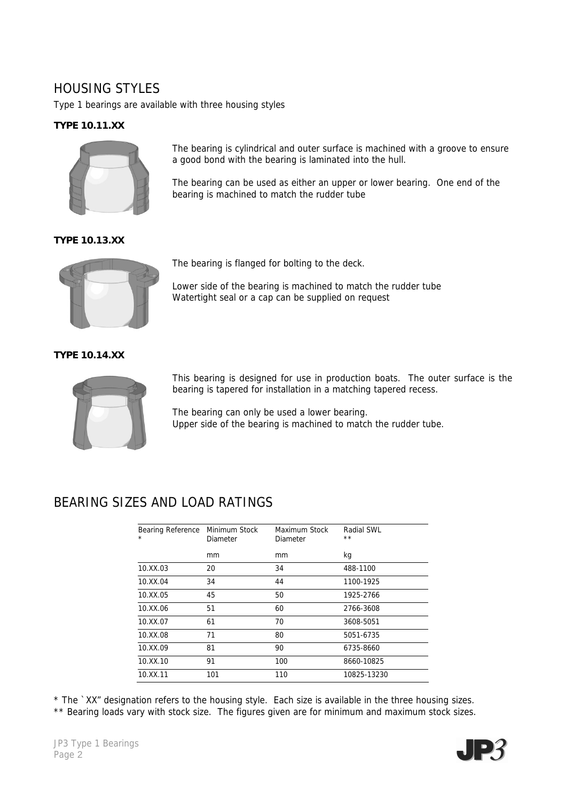# HOUSING STYLES

Type 1 bearings are available with three housing styles

#### **TYPE 10.11.XX**



The bearing is cylindrical and outer surface is machined with a groove to ensure a good bond with the bearing is laminated into the hull.

The bearing can be used as either an upper or lower bearing. One end of the bearing is machined to match the rudder tube

**TYPE 10.13.XX**



The bearing is flanged for bolting to the deck.

Lower side of the bearing is machined to match the rudder tube Watertight seal or a cap can be supplied on request

**TYPE 10.14.XX**



This bearing is designed for use in production boats. The outer surface is the bearing is tapered for installation in a matching tapered recess.

The bearing can only be used a lower bearing. Upper side of the bearing is machined to match the rudder tube.

# BEARING SIZES AND LOAD RATINGS

| Bearing Reference<br>* | Minimum Stock<br>Diameter | Maximum Stock<br>Diameter | Radial SWL<br>$***$ |
|------------------------|---------------------------|---------------------------|---------------------|
|                        | mm                        | mm                        | kg                  |
| 10.XX.03               | 20                        | 34                        | 488-1100            |
| 10.XX.04               | 34                        | 44                        | 1100-1925           |
| 10.XX.05               | 45                        | 50                        | 1925-2766           |
| 10.XX.06               | 51                        | 60                        | 2766-3608           |
| 10.XX.07               | 61                        | 70                        | 3608-5051           |
| 10.XX.08               | 71                        | 80                        | 5051-6735           |
| 10.XX.09               | 81                        | 90                        | 6735-8660           |
| 10.XX.10               | 91                        | 100                       | 8660-10825          |
| 10.XX.11               | 101                       | 110                       | 10825-13230         |

\* The `XX" designation refers to the housing style. Each size is available in the three housing sizes.

\*\* Bearing loads vary with stock size. The figures given are for minimum and maximum stock sizes.

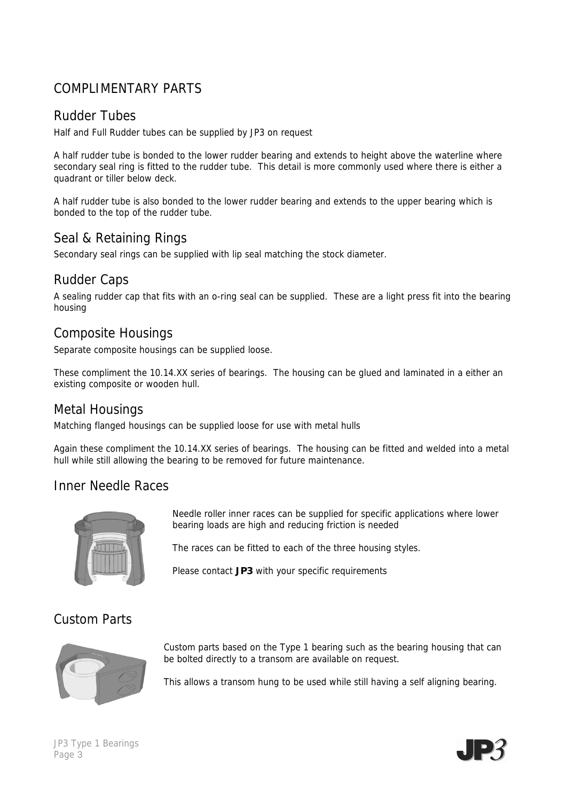# COMPLIMENTARY PARTS

### Rudder Tubes

Half and Full Rudder tubes can be supplied by JP3 on request

A half rudder tube is bonded to the lower rudder bearing and extends to height above the waterline where secondary seal ring is fitted to the rudder tube. This detail is more commonly used where there is either a quadrant or tiller below deck.

A half rudder tube is also bonded to the lower rudder bearing and extends to the upper bearing which is bonded to the top of the rudder tube.

# Seal & Retaining Rings

Secondary seal rings can be supplied with lip seal matching the stock diameter.

### Rudder Caps

A sealing rudder cap that fits with an o-ring seal can be supplied. These are a light press fit into the bearing housing

### Composite Housings

Separate composite housings can be supplied loose.

These compliment the 10.14.XX series of bearings. The housing can be glued and laminated in a either an existing composite or wooden hull.

### Metal Housings

Matching flanged housings can be supplied loose for use with metal hulls

Again these compliment the 10.14.XX series of bearings. The housing can be fitted and welded into a metal hull while still allowing the bearing to be removed for future maintenance.

### Inner Needle Races



Needle roller inner races can be supplied for specific applications where lower bearing loads are high and reducing friction is needed

The races can be fitted to each of the three housing styles.

Please contact **JP3** with your specific requirements

# Custom Parts



Custom parts based on the Type 1 bearing such as the bearing housing that can be bolted directly to a transom are available on request.

This allows a transom hung to be used while still having a self aligning bearing.

#### JP3 Type 1 Bearings Page 3

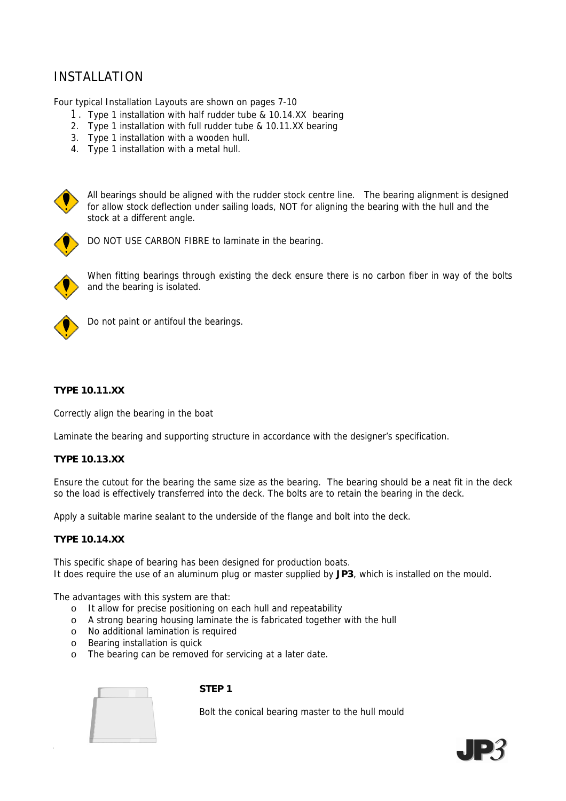# INSTALLATION

*Four typical Installation Layouts are shown on pages 7-10*

- 1. *Type 1 installation with half rudder tube & 10.14.XX bearing*
- *2. Type 1 installation with full rudder tube & 10.11.XX bearing*
- *3. Type 1 installation with a wooden hull.*
- *4. Type 1 installation with a metal hull.*



All bearings should be aligned with the rudder stock centre line. The bearing alignment is designed for allow stock deflection under sailing loads, NOT for aligning the bearing with the hull and the stock at a different angle.



DO NOT USE CARBON FIBRE to laminate in the bearing.



When fitting bearings through existing the deck ensure there is no carbon fiber in way of the bolts and the bearing is isolated.



Do not paint or antifoul the bearings.

#### **TYPE 10.11.XX**

Correctly align the bearing in the boat

Laminate the bearing and supporting structure in accordance with the designer's specification.

#### **TYPE 10.13.XX**

Ensure the cutout for the bearing the same size as the bearing. The bearing should be a neat fit in the deck so the load is effectively transferred into the deck. The bolts are to retain the bearing in the deck.

Apply a suitable marine sealant to the underside of the flange and bolt into the deck.

#### **TYPE 10.14.XX**

This specific shape of bearing has been designed for production boats. It does require the use of an aluminum plug or master supplied by **JP3**, which is installed on the mould.

The advantages with this system are that:

- o It allow for precise positioning on each hull and repeatability
- o A strong bearing housing laminate the is fabricated together with the hull
- o No additional lamination is required
- o Bearing installation is quick
- o The bearing can be removed for servicing at a later date.



#### **STEP 1**

Bolt the conical bearing master to the hull mould

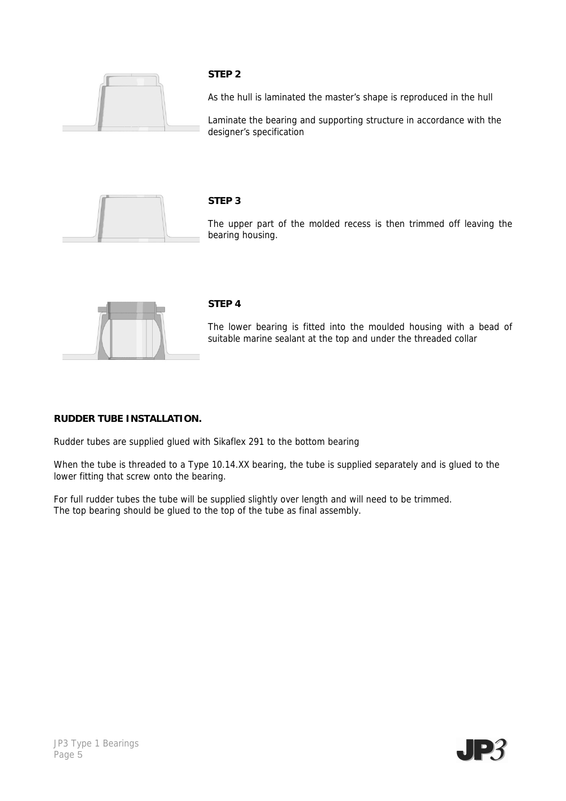

#### **STEP 2**

As the hull is laminated the master's shape is reproduced in the hull

Laminate the bearing and supporting structure in accordance with the designer's specification



#### **STEP 3**

The upper part of the molded recess is then trimmed off leaving the bearing housing.



#### **STEP 4**

The lower bearing is fitted into the moulded housing with a bead of suitable marine sealant at the top and under the threaded collar

#### **RUDDER TUBE INSTALLATION.**

Rudder tubes are supplied glued with Sikaflex 291 to the bottom bearing

When the tube is threaded to a Type 10.14.XX bearing, the tube is supplied separately and is glued to the lower fitting that screw onto the bearing.

For full rudder tubes the tube will be supplied slightly over length and will need to be trimmed. The top bearing should be glued to the top of the tube as final assembly.

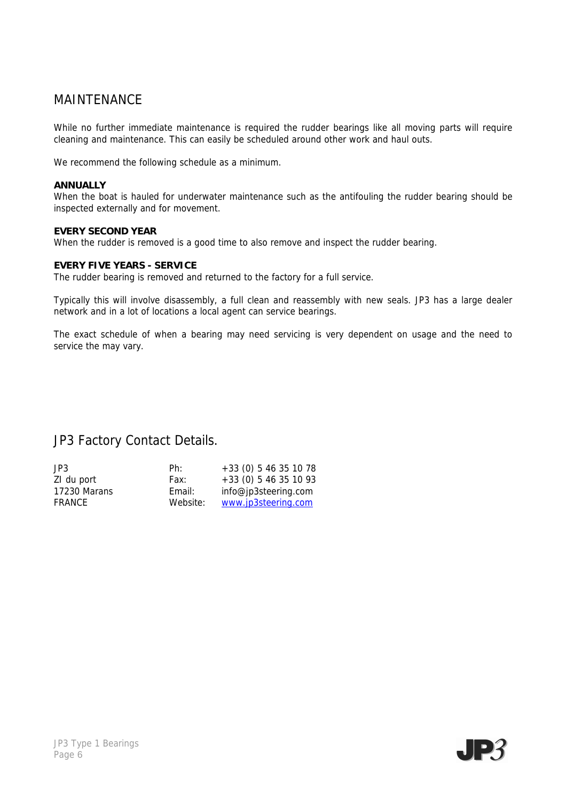### MAINTENANCE

While no further immediate maintenance is required the rudder bearings like all moving parts will require cleaning and maintenance. This can easily be scheduled around other work and haul outs.

We recommend the following schedule as a minimum.

#### **ANNUALLY**

When the boat is hauled for underwater maintenance such as the antifouling the rudder bearing should be inspected externally and for movement.

#### **EVERY SECOND YEAR**

When the rudder is removed is a good time to also remove and inspect the rudder bearing.

#### **EVERY FIVE YEARS - SERVICE**

The rudder bearing is removed and returned to the factory for a full service.

Typically this will involve disassembly, a full clean and reassembly with new seals. JP3 has a large dealer network and in a lot of locations a local agent can service bearings.

The exact schedule of when a bearing may need servicing is very dependent on usage and the need to service the may vary.

JP3 Factory Contact Details.

| JPS          | Ph:      | $+33(0)$ 5 46 35 10 78  |
|--------------|----------|-------------------------|
| ZI du port   | Fax:     | $+33$ (0) 5 46 35 10 93 |
| 17230 Marans | Email:   | info@jp3steering.com    |
| FRANCE       | Website: | www.jp3steering.com     |

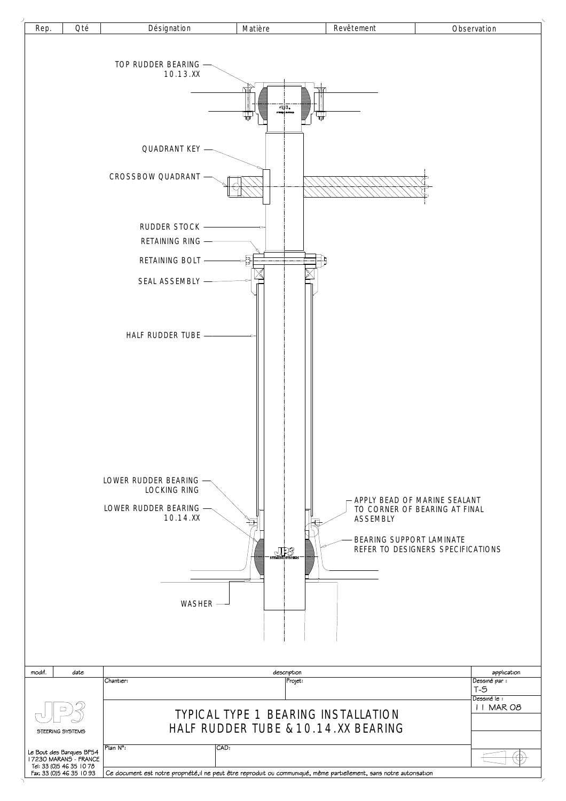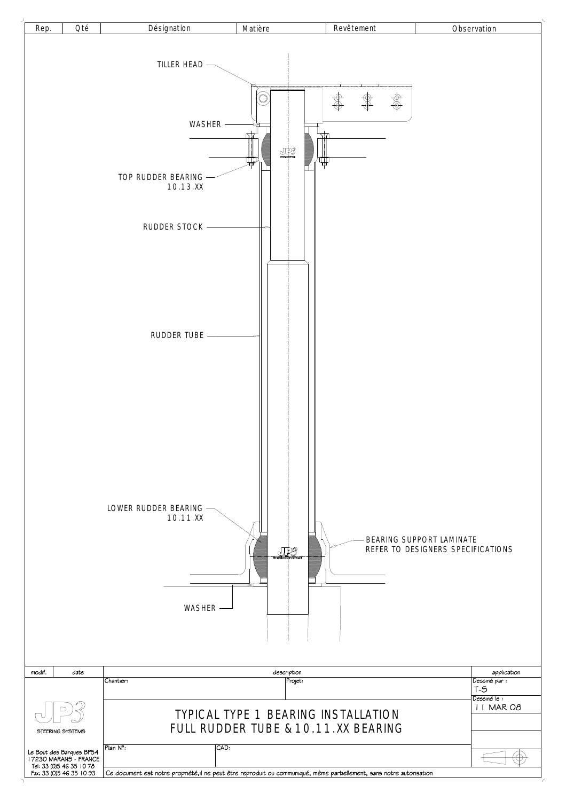